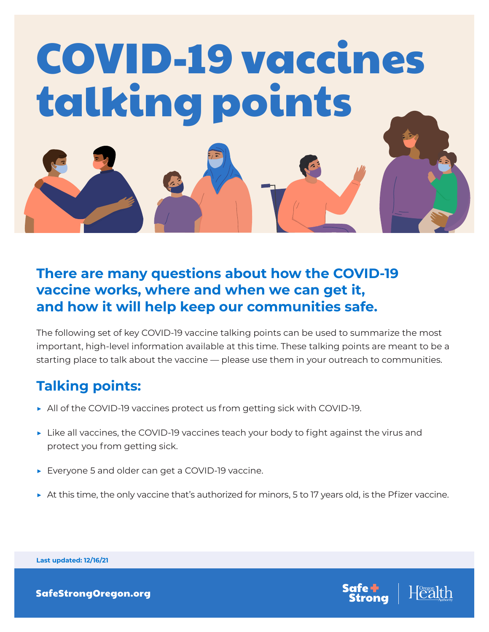

## **There are many questions about how the COVID-19 vaccine works, where and when we can get it, and how it will help keep our communities safe.**

The following set of key COVID-19 vaccine talking points can be used to summarize the most important, high-level information available at this time. These talking points are meant to be a starting place to talk about the vaccine — please use them in your outreach to communities.

## **Talking points:**

- ▶ All of the COVID-19 vaccines protect us from getting sick with COVID-19.
- $\triangleright$  Like all vaccines, the COVID-19 vaccines teach your body to fight against the virus and protect you from getting sick.
- ▶ Everyone 5 and older can get a COVID-19 vaccine.
- ▶ At this time, the only vaccine that's authorized for minors, 5 to 17 years old, is the Pfizer vaccine.



**Last updated: 12/16/21**

[SafeStrongOregon.org](http://safestrongoregon.org)